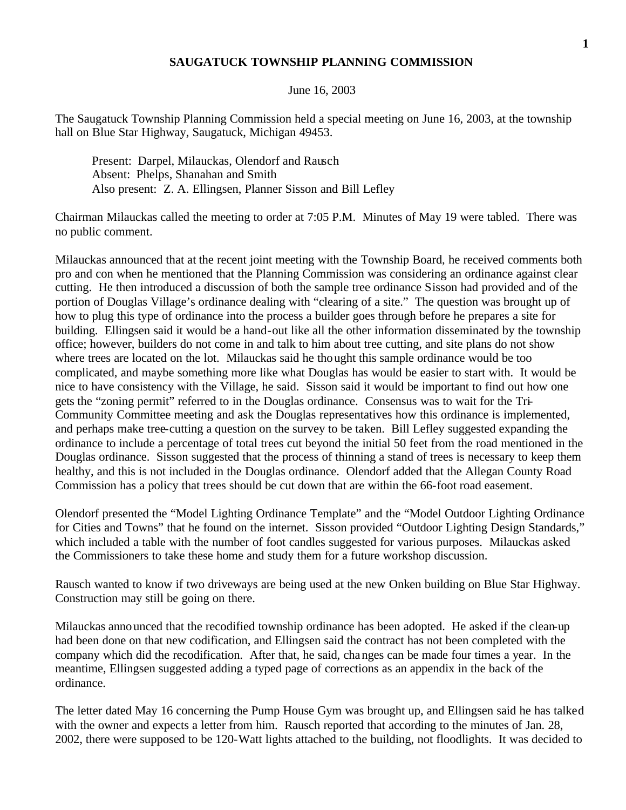## **SAUGATUCK TOWNSHIP PLANNING COMMISSION**

## June 16, 2003

The Saugatuck Township Planning Commission held a special meeting on June 16, 2003, at the township hall on Blue Star Highway, Saugatuck, Michigan 49453.

Present: Darpel, Milauckas, Olendorf and Rausch Absent: Phelps, Shanahan and Smith Also present: Z. A. Ellingsen, Planner Sisson and Bill Lefley

Chairman Milauckas called the meeting to order at 7:05 P.M. Minutes of May 19 were tabled. There was no public comment.

Milauckas announced that at the recent joint meeting with the Township Board, he received comments both pro and con when he mentioned that the Planning Commission was considering an ordinance against clear cutting. He then introduced a discussion of both the sample tree ordinance Sisson had provided and of the portion of Douglas Village's ordinance dealing with "clearing of a site." The question was brought up of how to plug this type of ordinance into the process a builder goes through before he prepares a site for building. Ellingsen said it would be a hand-out like all the other information disseminated by the township office; however, builders do not come in and talk to him about tree cutting, and site plans do not show where trees are located on the lot. Milauckas said he thought this sample ordinance would be too complicated, and maybe something more like what Douglas has would be easier to start with. It would be nice to have consistency with the Village, he said. Sisson said it would be important to find out how one gets the "zoning permit" referred to in the Douglas ordinance. Consensus was to wait for the Tri-Community Committee meeting and ask the Douglas representatives how this ordinance is implemented, and perhaps make tree-cutting a question on the survey to be taken. Bill Lefley suggested expanding the ordinance to include a percentage of total trees cut beyond the initial 50 feet from the road mentioned in the Douglas ordinance. Sisson suggested that the process of thinning a stand of trees is necessary to keep them healthy, and this is not included in the Douglas ordinance. Olendorf added that the Allegan County Road Commission has a policy that trees should be cut down that are within the 66-foot road easement.

Olendorf presented the "Model Lighting Ordinance Template" and the "Model Outdoor Lighting Ordinance for Cities and Towns" that he found on the internet. Sisson provided "Outdoor Lighting Design Standards," which included a table with the number of foot candles suggested for various purposes. Milauckas asked the Commissioners to take these home and study them for a future workshop discussion.

Rausch wanted to know if two driveways are being used at the new Onken building on Blue Star Highway. Construction may still be going on there.

Milauckas announced that the recodified township ordinance has been adopted. He asked if the clean-up had been done on that new codification, and Ellingsen said the contract has not been completed with the company which did the recodification. After that, he said, changes can be made four times a year. In the meantime, Ellingsen suggested adding a typed page of corrections as an appendix in the back of the ordinance.

The letter dated May 16 concerning the Pump House Gym was brought up, and Ellingsen said he has talked with the owner and expects a letter from him. Rausch reported that according to the minutes of Jan. 28, 2002, there were supposed to be 120-Watt lights attached to the building, not floodlights. It was decided to